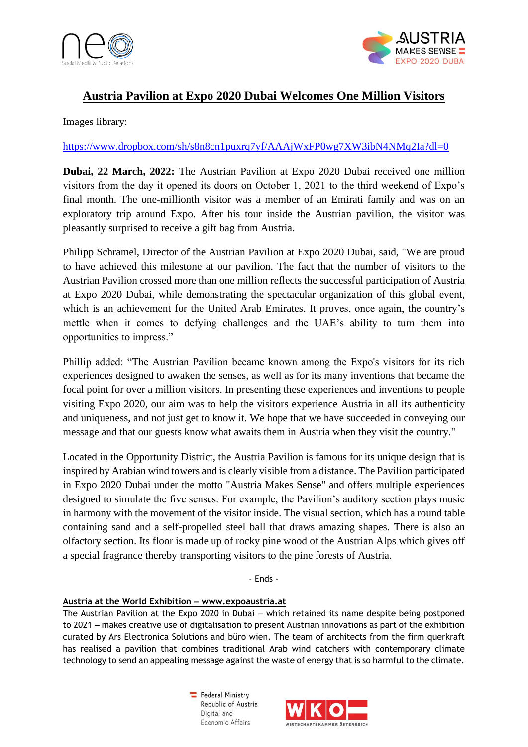



# **Austria Pavilion at Expo 2020 Dubai Welcomes One Million Visitors**

Images library:

## <https://www.dropbox.com/sh/s8n8cn1puxrq7yf/AAAjWxFP0wg7XW3ibN4NMq2Ia?dl=0>

**Dubai, 22 March, 2022:** The Austrian Pavilion at Expo 2020 Dubai received one million visitors from the day it opened its doors on October 1, 2021 to the third weekend of Expo's final month. The one-millionth visitor was a member of an Emirati family and was on an exploratory trip around Expo. After his tour inside the Austrian pavilion, the visitor was pleasantly surprised to receive a gift bag from Austria.

Philipp Schramel, Director of the Austrian Pavilion at Expo 2020 Dubai, said, "We are proud to have achieved this milestone at our pavilion. The fact that the number of visitors to the Austrian Pavilion crossed more than one million reflects the successful participation of Austria at Expo 2020 Dubai, while demonstrating the spectacular organization of this global event, which is an achievement for the United Arab Emirates. It proves, once again, the country's mettle when it comes to defying challenges and the UAE's ability to turn them into opportunities to impress."

Phillip added: "The Austrian Pavilion became known among the Expo's visitors for its rich experiences designed to awaken the senses, as well as for its many inventions that became the focal point for over a million visitors. In presenting these experiences and inventions to people visiting Expo 2020, our aim was to help the visitors experience Austria in all its authenticity and uniqueness, and not just get to know it. We hope that we have succeeded in conveying our message and that our guests know what awaits them in Austria when they visit the country."

Located in the Opportunity District, the Austria Pavilion is famous for its unique design that is inspired by Arabian wind towers and is clearly visible from a distance. The Pavilion participated in Expo 2020 Dubai under the motto "Austria Makes Sense" and offers multiple experiences designed to simulate the five senses. For example, the Pavilion's auditory section plays music in harmony with the movement of the visitor inside. The visual section, which has a round table containing sand and a self-propelled steel ball that draws amazing shapes. There is also an olfactory section. Its floor is made up of rocky pine wood of the Austrian Alps which gives off a special fragrance thereby transporting visitors to the pine forests of Austria.

- Ends -

#### **Austria at the World Exhibition ‒ www.expoaustria.at**

The Austrian Pavilion at the Expo 2020 in Dubai – which retained its name despite being postponed to 2021 – makes creative use of digitalisation to present Austrian innovations as part of the exhibition curated by Ars Electronica Solutions and büro wien. The team of architects from the firm querkraft has realised a pavilion that combines traditional Arab wind catchers with contemporary climate technology to send an appealing message against the waste of energy that is so harmful to the climate.